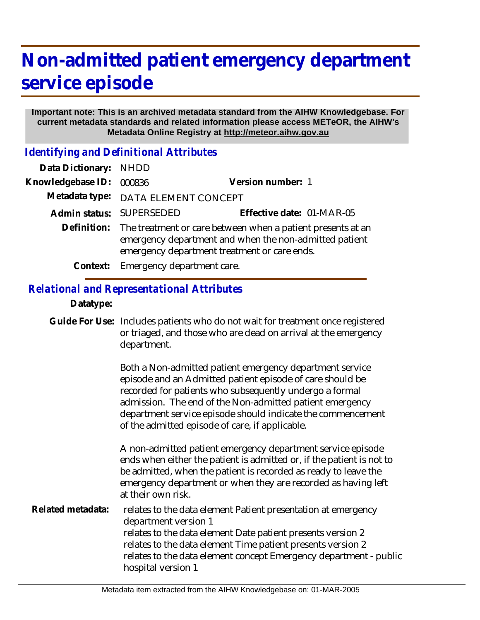## **Non-admitted patient emergency department service episode**

## **Important note: This is an archived metadata standard from the AIHW Knowledgebase. For current metadata standards and related information please access METeOR, the AIHW's Metadata Online Registry at http://meteor.aihw.gov.au**

*Identifying and Definitional Attributes*

| Data Dictionary: NHDD |                                                                                                                                                                                   |                           |
|-----------------------|-----------------------------------------------------------------------------------------------------------------------------------------------------------------------------------|---------------------------|
| Knowledgebase ID:     | 000836                                                                                                                                                                            | Version number: 1         |
|                       | Metadata type: DATA ELEMENT CONCEPT                                                                                                                                               |                           |
|                       | Admin status: SUPERSEDED                                                                                                                                                          | Effective date: 01-MAR-05 |
|                       | Definition: The treatment or care between when a patient presents at an<br>emergency department and when the non-admitted patient<br>emergency department treatment or care ends. |                           |
|                       | Context: Emergency department care.                                                                                                                                               |                           |

## *Relational and Representational Attributes*

## **Datatype:**

Guide For Use: Includes patients who do not wait for treatment once registered or triaged, and those who are dead on arrival at the emergency department.

> Both a Non-admitted patient emergency department service episode and an Admitted patient episode of care should be recorded for patients who subsequently undergo a formal admission. The end of the Non-admitted patient emergency department service episode should indicate the commencement of the admitted episode of care, if applicable.

A non-admitted patient emergency department service episode ends when either the patient is admitted or, if the patient is not to be admitted, when the patient is recorded as ready to leave the emergency department or when they are recorded as having left at their own risk.

relates to the data element Patient presentation at emergency department version 1 relates to the data element Date patient presents version 2 relates to the data element Time patient presents version 2 relates to the data element concept Emergency department - public hospital version 1 **Related metadata:**